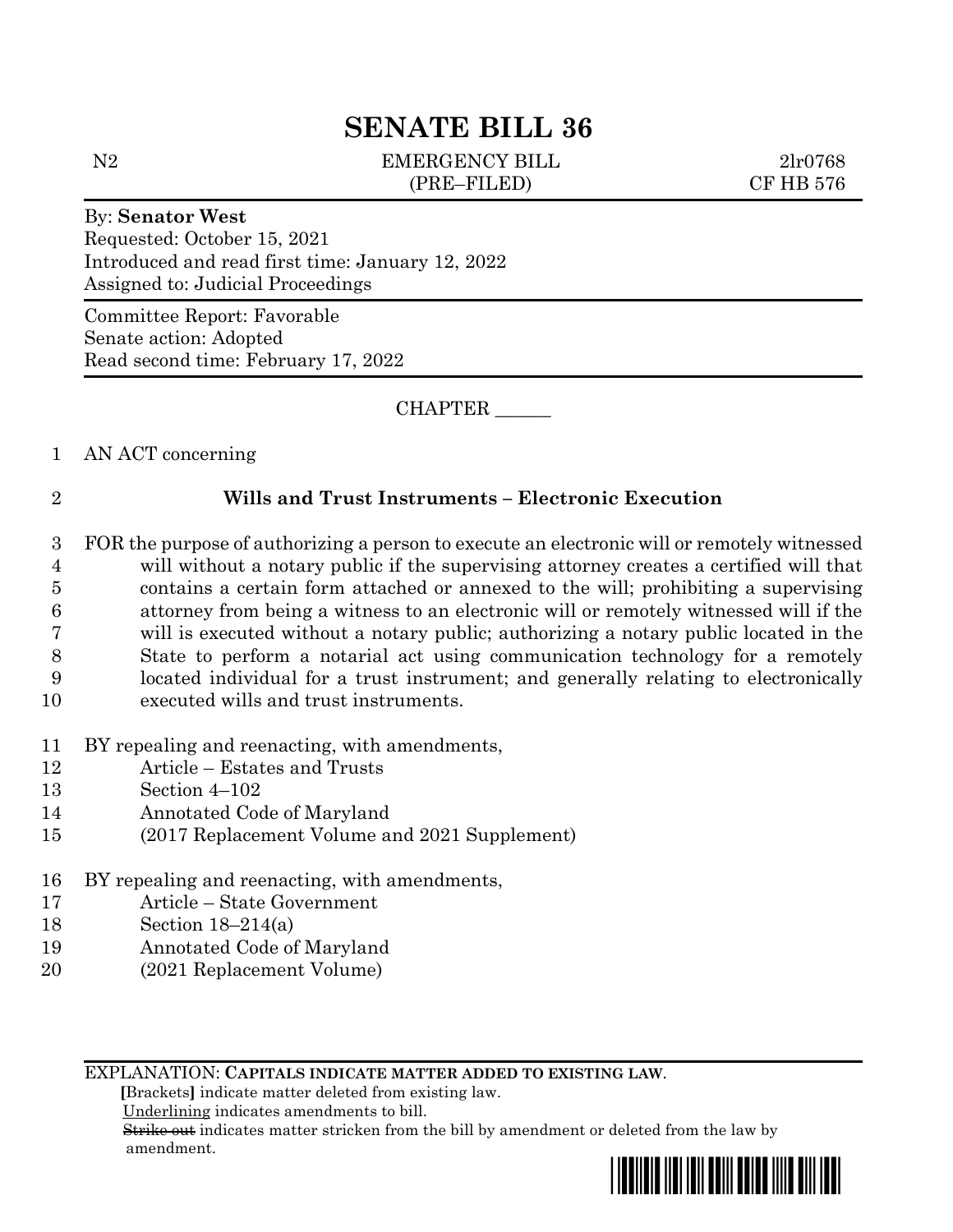# **SENATE BILL 36**

N2 EMERGENCY BILL 2lr0768 (PRE–FILED) CF HB 576

# By: **Senator West**

Requested: October 15, 2021 Introduced and read first time: January 12, 2022 Assigned to: Judicial Proceedings

Committee Report: Favorable Senate action: Adopted Read second time: February 17, 2022

CHAPTER \_\_\_\_\_\_

# 1 AN ACT concerning

# 2 **Wills and Trust Instruments – Electronic Execution**

- 3 FOR the purpose of authorizing a person to execute an electronic will or remotely witnessed 4 will without a notary public if the supervising attorney creates a certified will that 5 contains a certain form attached or annexed to the will; prohibiting a supervising 6 attorney from being a witness to an electronic will or remotely witnessed will if the 7 will is executed without a notary public; authorizing a notary public located in the 8 State to perform a notarial act using communication technology for a remotely 9 located individual for a trust instrument; and generally relating to electronically 10 executed wills and trust instruments.
- 11 BY repealing and reenacting, with amendments,
- 12 Article Estates and Trusts
- 13 Section 4–102
- 14 Annotated Code of Maryland
- 15 (2017 Replacement Volume and 2021 Supplement)
- 16 BY repealing and reenacting, with amendments,
- 17 Article State Government
- 18 Section 18–214(a)
- 19 Annotated Code of Maryland
- 20 (2021 Replacement Volume)

EXPLANATION: **CAPITALS INDICATE MATTER ADDED TO EXISTING LAW**.

 **[**Brackets**]** indicate matter deleted from existing law.

Underlining indicates amendments to bill.

 Strike out indicates matter stricken from the bill by amendment or deleted from the law by amendment.

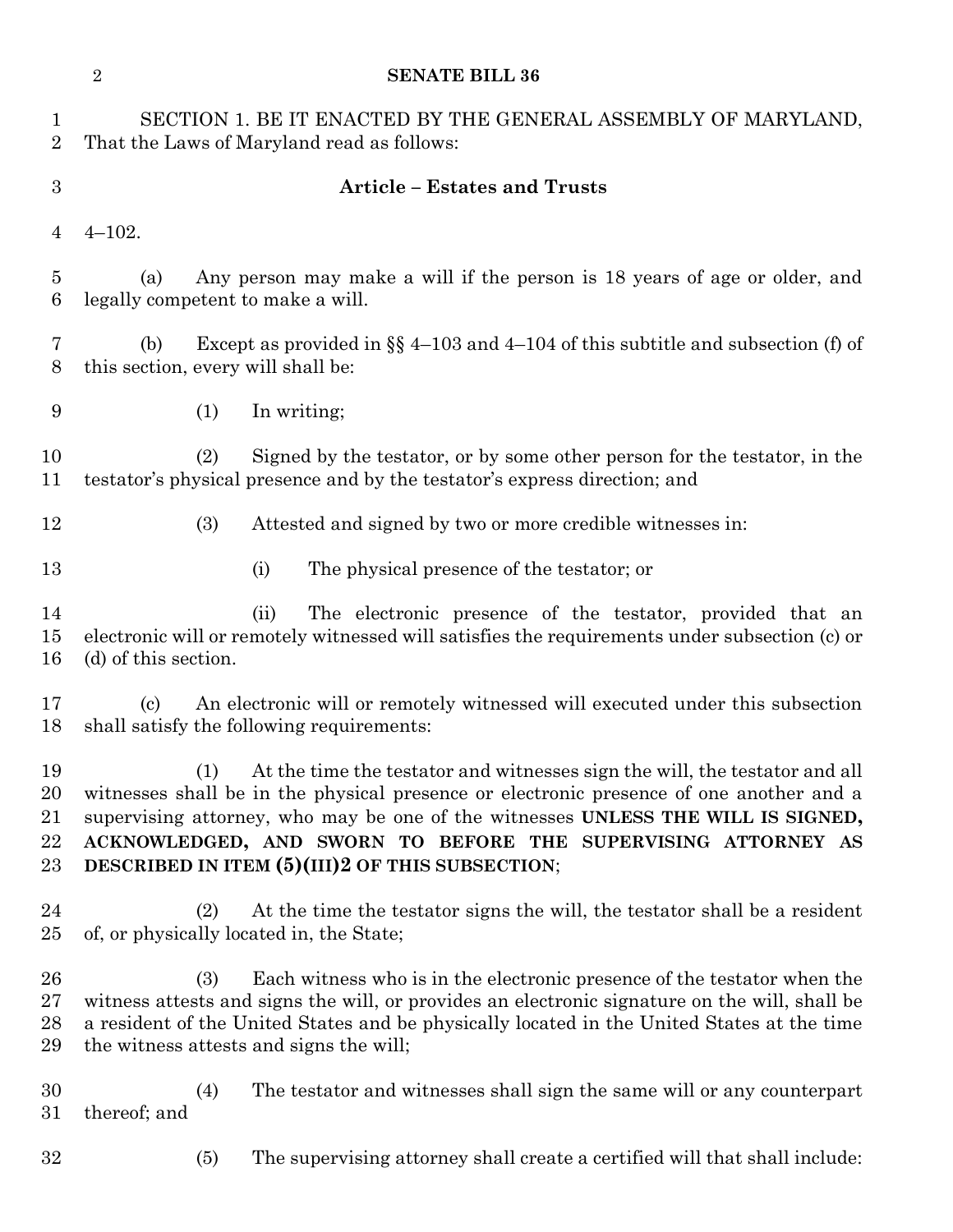|                                | $\overline{2}$<br><b>SENATE BILL 36</b>                                                                                                                                                                                                                                                                                                                                              |
|--------------------------------|--------------------------------------------------------------------------------------------------------------------------------------------------------------------------------------------------------------------------------------------------------------------------------------------------------------------------------------------------------------------------------------|
| $\mathbf{1}$<br>$\overline{2}$ | SECTION 1. BE IT ENACTED BY THE GENERAL ASSEMBLY OF MARYLAND,<br>That the Laws of Maryland read as follows:                                                                                                                                                                                                                                                                          |
| $\boldsymbol{3}$               | <b>Article - Estates and Trusts</b>                                                                                                                                                                                                                                                                                                                                                  |
| 4                              | $4 - 102.$                                                                                                                                                                                                                                                                                                                                                                           |
| $\overline{5}$<br>6            | Any person may make a will if the person is 18 years of age or older, and<br>(a)<br>legally competent to make a will.                                                                                                                                                                                                                                                                |
| 7<br>8                         | Except as provided in $\S$ 4-103 and 4-104 of this subtitle and subsection (f) of<br>(b)<br>this section, every will shall be:                                                                                                                                                                                                                                                       |
| 9                              | (1)<br>In writing;                                                                                                                                                                                                                                                                                                                                                                   |
| 10<br>11                       | Signed by the testator, or by some other person for the testator, in the<br>(2)<br>testator's physical presence and by the testator's express direction; and                                                                                                                                                                                                                         |
| 12                             | (3)<br>Attested and signed by two or more credible witnesses in:                                                                                                                                                                                                                                                                                                                     |
| 13                             | (i)<br>The physical presence of the testator; or                                                                                                                                                                                                                                                                                                                                     |
| 14<br>15<br>16                 | The electronic presence of the testator, provided that an<br>(ii)<br>electronic will or remotely witnessed will satisfies the requirements under subsection (c) or<br>(d) of this section.                                                                                                                                                                                           |
| 17<br>18                       | An electronic will or remotely witnessed will executed under this subsection<br>$\left( \mathrm{c}\right)$<br>shall satisfy the following requirements:                                                                                                                                                                                                                              |
| 19<br>20<br>21<br>22<br>23     | At the time the testator and witnesses sign the will, the testator and all<br>(1)<br>witnesses shall be in the physical presence or electronic presence of one another and a<br>supervising attorney, who may be one of the witnesses UNLESS THE WILL IS SIGNED,<br>ACKNOWLEDGED, AND SWORN TO BEFORE THE SUPERVISING ATTORNEY AS<br>DESCRIBED IN ITEM (5)(III)2 OF THIS SUBSECTION; |
| 24<br>$25\,$                   | At the time the testator signs the will, the testator shall be a resident<br>(2)<br>of, or physically located in, the State;                                                                                                                                                                                                                                                         |
| 26<br>$27\,$<br>28<br>29       | Each witness who is in the electronic presence of the testator when the<br>(3)<br>witness attests and signs the will, or provides an electronic signature on the will, shall be<br>a resident of the United States and be physically located in the United States at the time<br>the witness attests and signs the will;                                                             |
| 30<br>$31\,$                   | The testator and witnesses shall sign the same will or any counterpart<br>(4)<br>thereof; and                                                                                                                                                                                                                                                                                        |
| $32\,$                         | The supervising attorney shall create a certified will that shall include:<br>(5)                                                                                                                                                                                                                                                                                                    |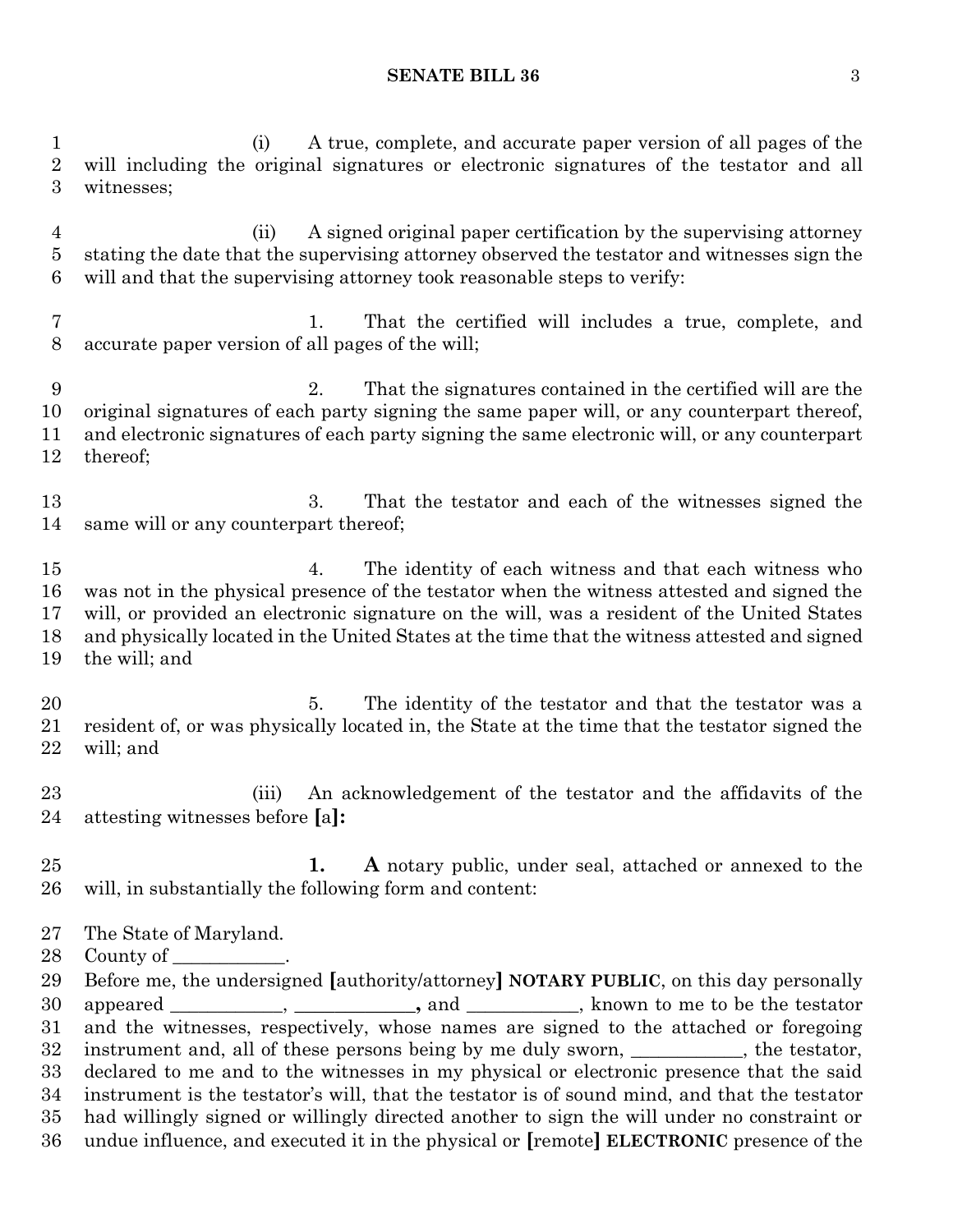#### **SENATE BILL 36** 3

 (i) A true, complete, and accurate paper version of all pages of the will including the original signatures or electronic signatures of the testator and all witnesses; (ii) A signed original paper certification by the supervising attorney stating the date that the supervising attorney observed the testator and witnesses sign the will and that the supervising attorney took reasonable steps to verify: 1. That the certified will includes a true, complete, and accurate paper version of all pages of the will; 2. That the signatures contained in the certified will are the original signatures of each party signing the same paper will, or any counterpart thereof, and electronic signatures of each party signing the same electronic will, or any counterpart thereof; 3. That the testator and each of the witnesses signed the same will or any counterpart thereof; 4. The identity of each witness and that each witness who was not in the physical presence of the testator when the witness attested and signed the will, or provided an electronic signature on the will, was a resident of the United States and physically located in the United States at the time that the witness attested and signed the will; and 20 5. The identity of the testator and that the testator was a resident of, or was physically located in, the State at the time that the testator signed the will; and (iii) An acknowledgement of the testator and the affidavits of the attesting witnesses before **[**a**]: 1. A** notary public, under seal, attached or annexed to the will, in substantially the following form and content: The State of Maryland. 28 County of \_ Before me, the undersigned **[**authority/attorney**] NOTARY PUBLIC**, on this day personally appeared \_\_\_\_\_\_\_\_\_\_\_\_, **\_\_\_\_\_\_\_\_\_\_\_\_,** and \_\_\_\_\_\_\_\_\_\_\_\_, known to me to be the testator and the witnesses, respectively, whose names are signed to the attached or foregoing 32 instrument and, all of these persons being by me duly sworn, the testator,

 declared to me and to the witnesses in my physical or electronic presence that the said instrument is the testator's will, that the testator is of sound mind, and that the testator had willingly signed or willingly directed another to sign the will under no constraint or

undue influence, and executed it in the physical or **[**remote**] ELECTRONIC** presence of the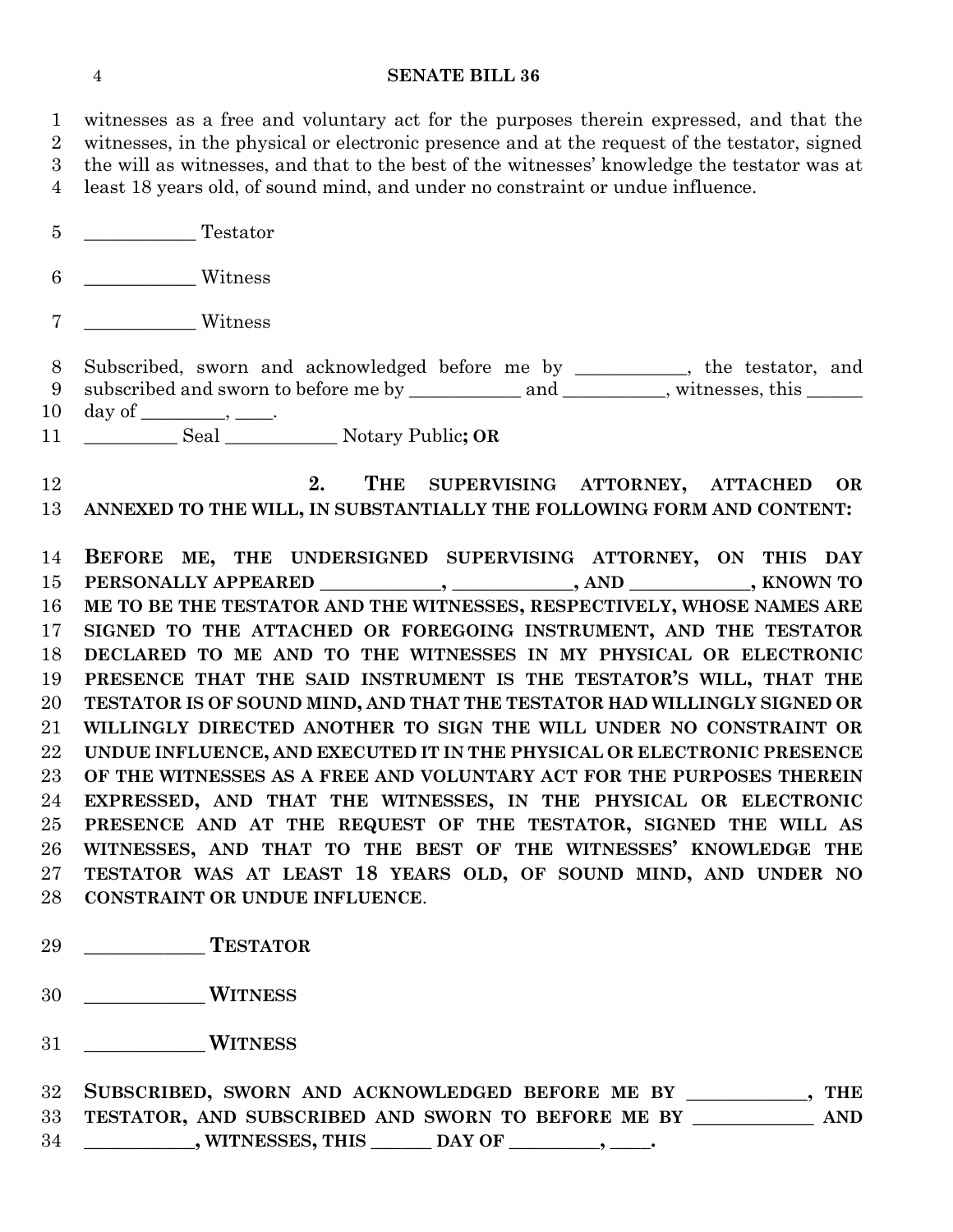# **SENATE BILL 36**

| 1               | witnesses as a free and voluntary act for the purposes therein expressed, and that the                                                                                |
|-----------------|-----------------------------------------------------------------------------------------------------------------------------------------------------------------------|
| $\overline{2}$  | witnesses, in the physical or electronic presence and at the request of the testator, signed                                                                          |
| 3               | the will as witnesses, and that to the best of the witnesses' knowledge the testator was at                                                                           |
| $\overline{4}$  | least 18 years old, of sound mind, and under no constraint or undue influence.                                                                                        |
| $5\overline{)}$ | Testator                                                                                                                                                              |
| $\,6\,$         | Witness                                                                                                                                                               |
| $\overline{7}$  | Witness                                                                                                                                                               |
| 8<br>9          | Subscribed, sworn and acknowledged before me by ________, the testator, and<br>subscribed and sworn to before me by ____________ and _________, witnesses, this _____ |
| 10              |                                                                                                                                                                       |
| 11              |                                                                                                                                                                       |
|                 |                                                                                                                                                                       |
| 12              | THE SUPERVISING ATTORNEY, ATTACHED<br>2.<br>OR                                                                                                                        |
| 13              | ANNEXED TO THE WILL, IN SUBSTANTIALLY THE FOLLOWING FORM AND CONTENT:                                                                                                 |
| 14              | BEFORE ME, THE UNDERSIGNED SUPERVISING ATTORNEY, ON THIS DAY                                                                                                          |
| 15              | PERSONALLY APPEARED ___________, ___________, AND ___________, KNOWN TO                                                                                               |
| 16              | ME TO BE THE TESTATOR AND THE WITNESSES, RESPECTIVELY, WHOSE NAMES ARE                                                                                                |
| 17              | SIGNED TO THE ATTACHED OR FOREGOING INSTRUMENT, AND THE TESTATOR                                                                                                      |
| 18              | DECLARED TO ME AND TO THE WITNESSES IN MY PHYSICAL OR ELECTRONIC                                                                                                      |
| 19              | PRESENCE THAT THE SAID INSTRUMENT IS THE TESTATOR'S WILL, THAT THE                                                                                                    |
| 20              | TESTATOR IS OF SOUND MIND, AND THAT THE TESTATOR HAD WILLINGLY SIGNED OR                                                                                              |
| 21              | WILLINGLY DIRECTED ANOTHER TO SIGN THE WILL UNDER NO CONSTRAINT OR                                                                                                    |
| $\bf{22}$       | UNDUE INFLUENCE, AND EXECUTED IT IN THE PHYSICAL OR ELECTRONIC PRESENCE                                                                                               |
| 23              | OF THE WITNESSES AS A FREE AND VOLUNTARY ACT FOR THE PURPOSES THEREIN                                                                                                 |
| 24              | EXPRESSED, AND THAT THE WITNESSES, IN THE PHYSICAL OR ELECTRONIC                                                                                                      |
| $25\,$          | PRESENCE AND AT THE REQUEST OF THE TESTATOR, SIGNED THE WILL AS                                                                                                       |
| 26              | WITNESSES, AND THAT TO THE BEST OF THE WITNESSES' KNOWLEDGE THE                                                                                                       |
| $27\,$          | TESTATOR WAS AT LEAST 18 YEARS OLD, OF SOUND MIND, AND UNDER NO                                                                                                       |
| 28              | CONSTRAINT OR UNDUE INFLUENCE.                                                                                                                                        |
|                 |                                                                                                                                                                       |
| 29              | <b>TESTATOR</b>                                                                                                                                                       |
| 30              | <b>WITNESS</b>                                                                                                                                                        |
| 31              | <b>WITNESS</b>                                                                                                                                                        |
|                 |                                                                                                                                                                       |

|    | 32 SUBSCRIBED, SWORN AND ACKNOWLEDGED BEFORE ME BY    | THE  |
|----|-------------------------------------------------------|------|
|    | 33 TESTATOR, AND SUBSCRIBED AND SWORN TO BEFORE ME BY | AND. |
| 34 | , WITNESSES, THIS<br>DAY OF                           |      |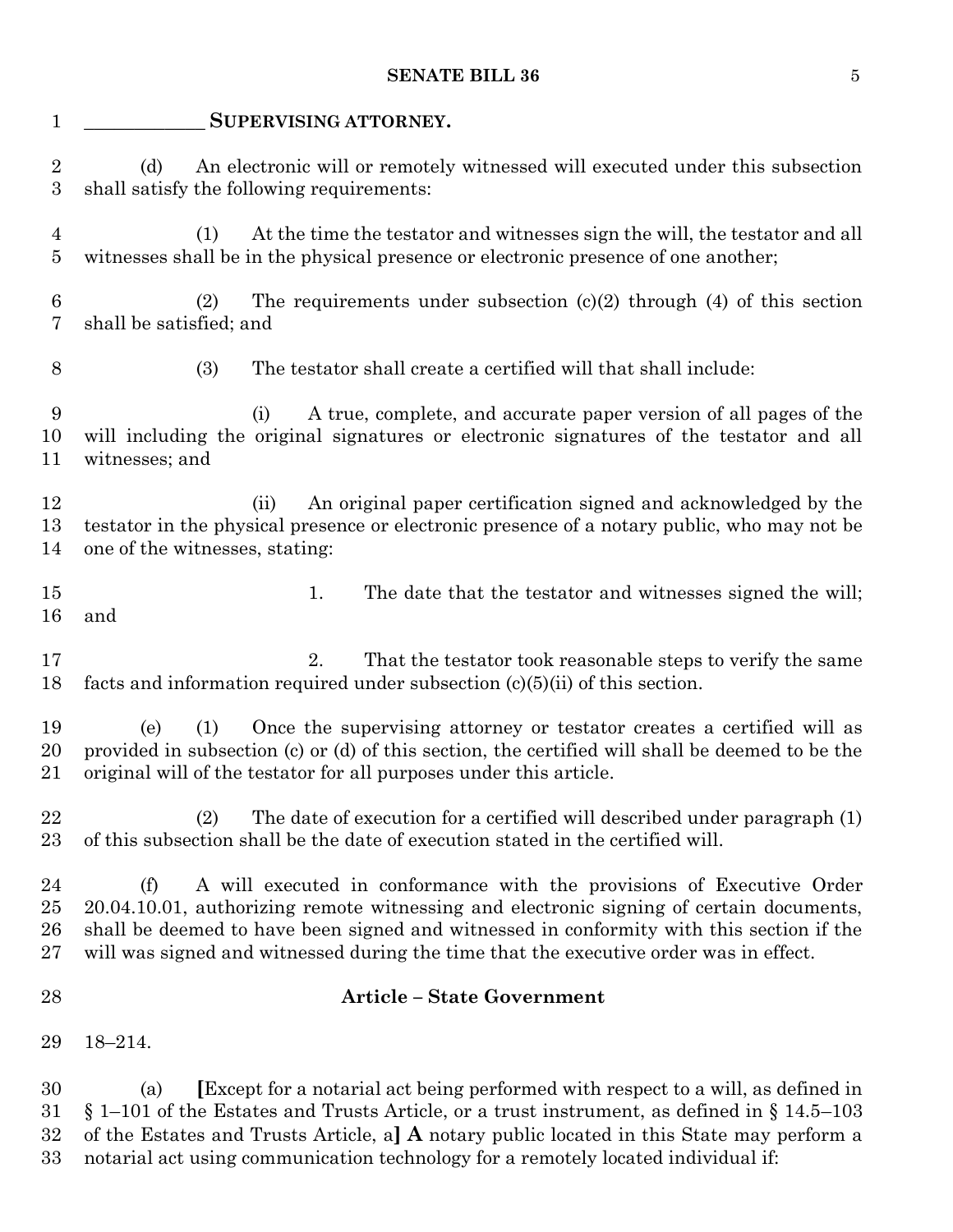# **SENATE BILL 36** 5

| $\mathbf{1}$                     | SUPERVISING ATTORNEY.                                                                                                                                                                                                                                                                                                                                        |
|----------------------------------|--------------------------------------------------------------------------------------------------------------------------------------------------------------------------------------------------------------------------------------------------------------------------------------------------------------------------------------------------------------|
| $\overline{2}$<br>3              | An electronic will or remotely witnessed will executed under this subsection<br>(d)<br>shall satisfy the following requirements:                                                                                                                                                                                                                             |
| $\overline{4}$<br>$\overline{5}$ | At the time the testator and witnesses sign the will, the testator and all<br>(1)<br>witnesses shall be in the physical presence or electronic presence of one another;                                                                                                                                                                                      |
| 6<br>7                           | The requirements under subsection $(c)(2)$ through $(4)$ of this section<br>(2)<br>shall be satisfied; and                                                                                                                                                                                                                                                   |
| 8                                | (3)<br>The testator shall create a certified will that shall include:                                                                                                                                                                                                                                                                                        |
| 9<br>10<br>11                    | A true, complete, and accurate paper version of all pages of the<br>(i)<br>will including the original signatures or electronic signatures of the testator and all<br>witnesses; and                                                                                                                                                                         |
| 12<br>13<br>14                   | An original paper certification signed and acknowledged by the<br>(ii)<br>testator in the physical presence or electronic presence of a notary public, who may not be<br>one of the witnesses, stating:                                                                                                                                                      |
| 15<br>16                         | 1.<br>The date that the testator and witnesses signed the will;<br>and                                                                                                                                                                                                                                                                                       |
| 17<br>18                         | That the testator took reasonable steps to verify the same<br>2.<br>facts and information required under subsection $(c)(5)(ii)$ of this section.                                                                                                                                                                                                            |
| 19<br>20<br>21                   | (1)<br>Once the supervising attorney or testator creates a certified will as<br>(e)<br>provided in subsection (c) or (d) of this section, the certified will shall be deemed to be the<br>original will of the testator for all purposes under this article.                                                                                                 |
| 22<br>$23\,$                     | The date of execution for a certified will described under paragraph (1)<br>(2)<br>of this subsection shall be the date of execution stated in the certified will.                                                                                                                                                                                           |
| 24<br>$25\,$<br>26<br>$27\,$     | A will executed in conformance with the provisions of Executive Order<br>(f)<br>20.04.10.01, authorizing remote witnessing and electronic signing of certain documents,<br>shall be deemed to have been signed and witnessed in conformity with this section if the<br>will was signed and witnessed during the time that the executive order was in effect. |
| 28                               | <b>Article - State Government</b>                                                                                                                                                                                                                                                                                                                            |
| 29                               | $18 - 214.$                                                                                                                                                                                                                                                                                                                                                  |
| 30<br>31<br>32                   | <b>Except for a notarial act being performed with respect to a will, as defined in</b><br>(a)<br>$\S 1-101$ of the Estates and Trusts Article, or a trust instrument, as defined in $\S 14.5-103$<br>of the Estates and Trusts Article, a] $\bf{A}$ notary public located in this State may perform a                                                        |

notarial act using communication technology for a remotely located individual if: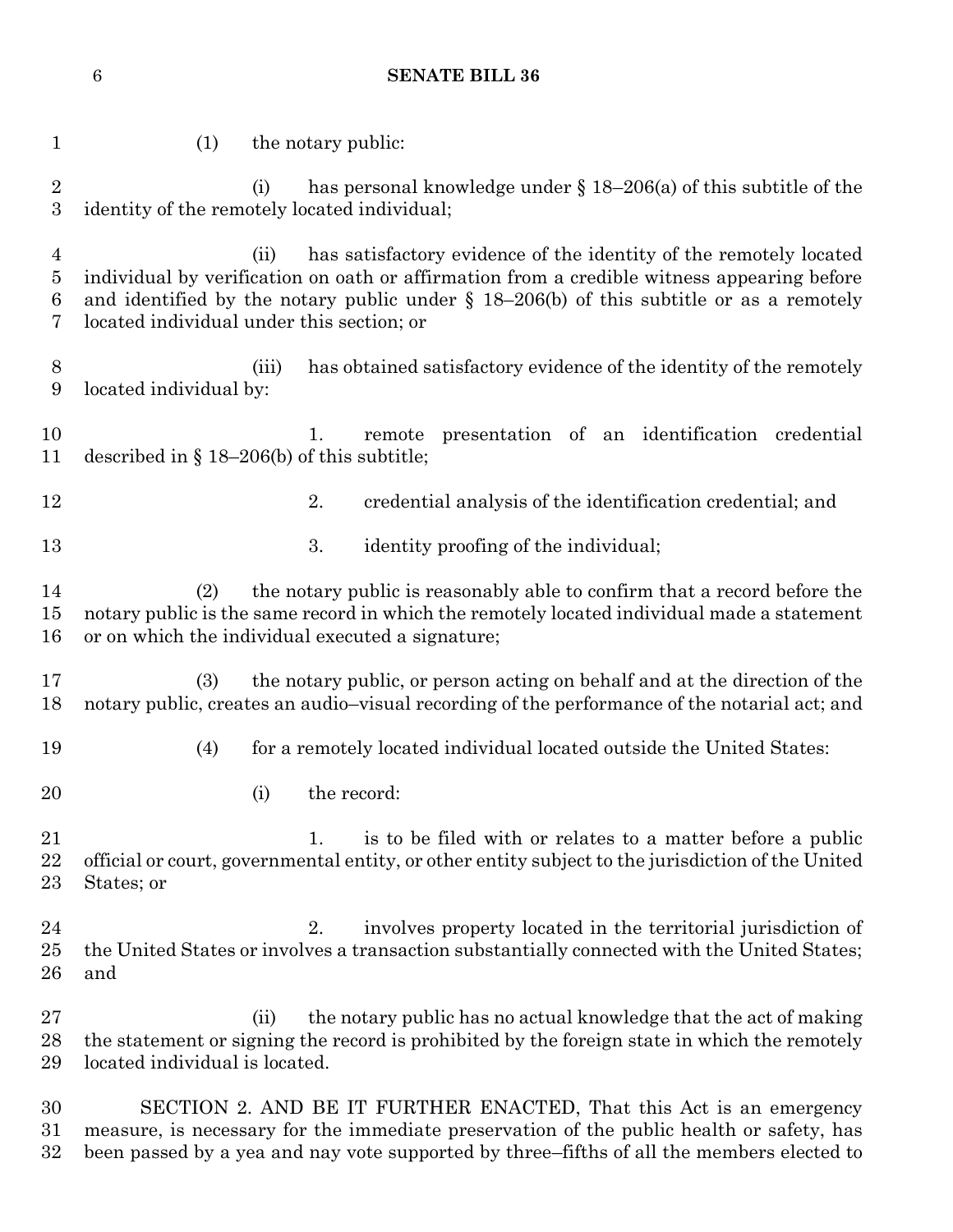1 (1) the notary public: (i) has personal knowledge under § 18–206(a) of this subtitle of the identity of the remotely located individual; (ii) has satisfactory evidence of the identity of the remotely located individual by verification on oath or affirmation from a credible witness appearing before and identified by the notary public under § 18–206(b) of this subtitle or as a remotely located individual under this section; or (iii) has obtained satisfactory evidence of the identity of the remotely located individual by: 1. remote presentation of an identification credential described in § 18–206(b) of this subtitle; 12 2. credential analysis of the identification credential; and 13 3. identity proofing of the individual; (2) the notary public is reasonably able to confirm that a record before the notary public is the same record in which the remotely located individual made a statement or on which the individual executed a signature; (3) the notary public, or person acting on behalf and at the direction of the notary public, creates an audio–visual recording of the performance of the notarial act; and (4) for a remotely located individual located outside the United States: 20 (i) the record: 21 1. is to be filed with or relates to a matter before a public official or court, governmental entity, or other entity subject to the jurisdiction of the United States; or 24 24 2. involves property located in the territorial jurisdiction of the United States or involves a transaction substantially connected with the United States; and (ii) the notary public has no actual knowledge that the act of making the statement or signing the record is prohibited by the foreign state in which the remotely located individual is located.

 SECTION 2. AND BE IT FURTHER ENACTED, That this Act is an emergency measure, is necessary for the immediate preservation of the public health or safety, has been passed by a yea and nay vote supported by three–fifths of all the members elected to

# **SENATE BILL 36**